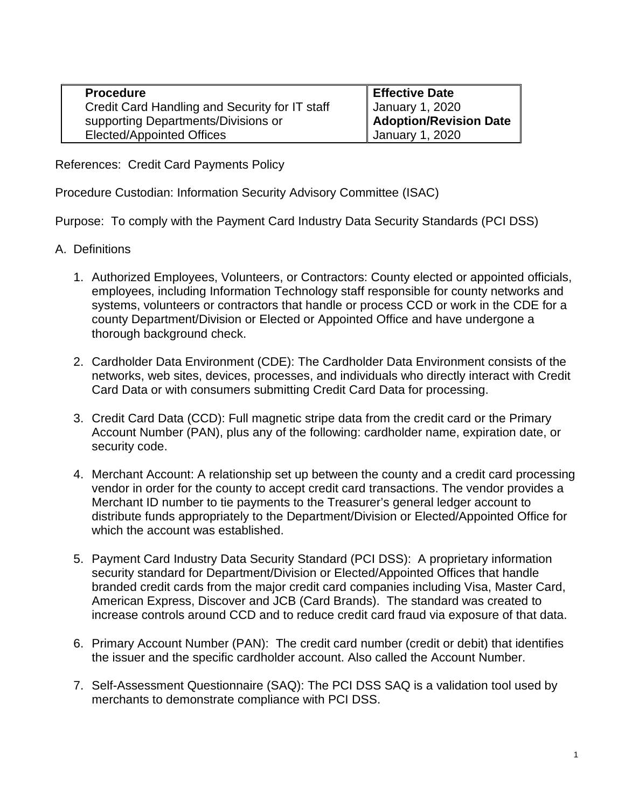| <b>Procedure</b>                               | <b>Effective Date</b>           |
|------------------------------------------------|---------------------------------|
| Credit Card Handling and Security for IT staff | January 1, 2020                 |
| supporting Departments/Divisions or            | <b>I Adoption/Revision Date</b> |
| <b>Elected/Appointed Offices</b>               | January 1, 2020                 |

References: Credit Card Payments Policy

Procedure Custodian: Information Security Advisory Committee (ISAC)

Purpose: To comply with the Payment Card Industry Data Security Standards (PCI DSS)

- A. Definitions
	- 1. Authorized Employees, Volunteers, or Contractors: County elected or appointed officials, employees, including Information Technology staff responsible for county networks and systems, volunteers or contractors that handle or process CCD or work in the CDE for a county Department/Division or Elected or Appointed Office and have undergone a thorough background check.
	- 2. Cardholder Data Environment (CDE): The Cardholder Data Environment consists of the networks, web sites, devices, processes, and individuals who directly interact with Credit Card Data or with consumers submitting Credit Card Data for processing.
	- 3. Credit Card Data (CCD): Full magnetic stripe data from the credit card or the Primary Account Number (PAN), plus any of the following: cardholder name, expiration date, or security code.
	- 4. Merchant Account: A relationship set up between the county and a credit card processing vendor in order for the county to accept credit card transactions. The vendor provides a Merchant ID number to tie payments to the Treasurer's general ledger account to distribute funds appropriately to the Department/Division or Elected/Appointed Office for which the account was established.
	- 5. Payment Card Industry Data Security Standard (PCI DSS): A proprietary information security standard for Department/Division or Elected/Appointed Offices that handle branded credit cards from the major credit card companies including Visa, Master Card, American Express, Discover and JCB (Card Brands). The standard was created to increase controls around CCD and to reduce credit card fraud via exposure of that data.
	- 6. Primary Account Number (PAN): The credit card number (credit or debit) that identifies the issuer and the specific cardholder account. Also called the Account Number.
	- 7. Self-Assessment Questionnaire (SAQ): The PCI DSS SAQ is a validation tool used by merchants to demonstrate compliance with PCI DSS.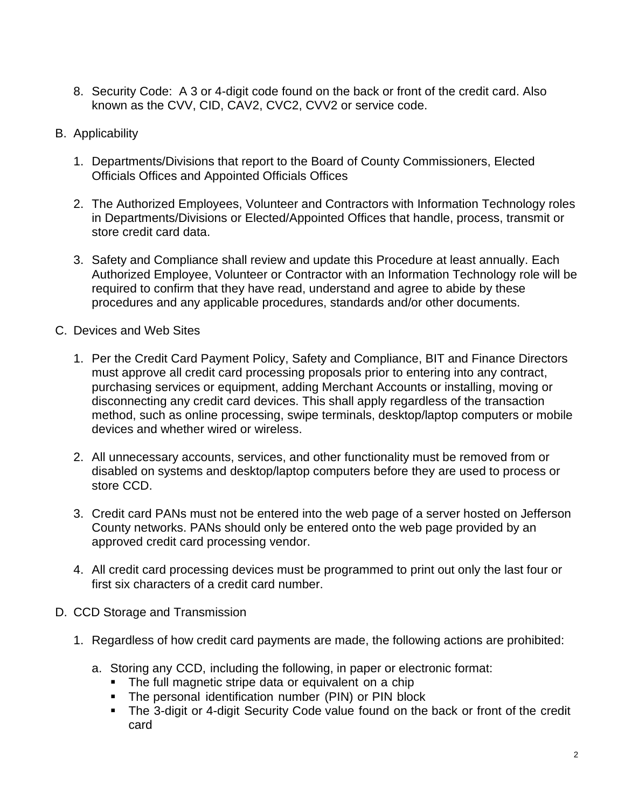- 8. Security Code: A 3 or 4-digit code found on the back or front of the credit card. Also known as the CVV, CID, CAV2, CVC2, CVV2 or service code.
- B. Applicability
	- 1. Departments/Divisions that report to the Board of County Commissioners, Elected Officials Offices and Appointed Officials Offices
	- 2. The Authorized Employees, Volunteer and Contractors with Information Technology roles in Departments/Divisions or Elected/Appointed Offices that handle, process, transmit or store credit card data.
	- 3. Safety and Compliance shall review and update this Procedure at least annually. Each Authorized Employee, Volunteer or Contractor with an Information Technology role will be required to confirm that they have read, understand and agree to abide by these procedures and any applicable procedures, standards and/or other documents.
- C. Devices and Web Sites
	- 1. Per the Credit Card Payment Policy, Safety and Compliance, BIT and Finance Directors must approve all credit card processing proposals prior to entering into any contract, purchasing services or equipment, adding Merchant Accounts or installing, moving or disconnecting any credit card devices. This shall apply regardless of the transaction method, such as online processing, swipe terminals, desktop/laptop computers or mobile devices and whether wired or wireless.
	- 2. All unnecessary accounts, services, and other functionality must be removed from or disabled on systems and desktop/laptop computers before they are used to process or store CCD.
	- 3. Credit card PANs must not be entered into the web page of a server hosted on Jefferson County networks. PANs should only be entered onto the web page provided by an approved credit card processing vendor.
	- 4. All credit card processing devices must be programmed to print out only the last four or first six characters of a credit card number.
- D. CCD Storage and Transmission
	- 1. Regardless of how credit card payments are made, the following actions are prohibited:
		- a. Storing any CCD, including the following, in paper or electronic format:
			- **The full magnetic stripe data or equivalent on a chip**
			- **The personal identification number (PIN) or PIN block**
			- The 3-digit or 4-digit Security Code value found on the back or front of the credit card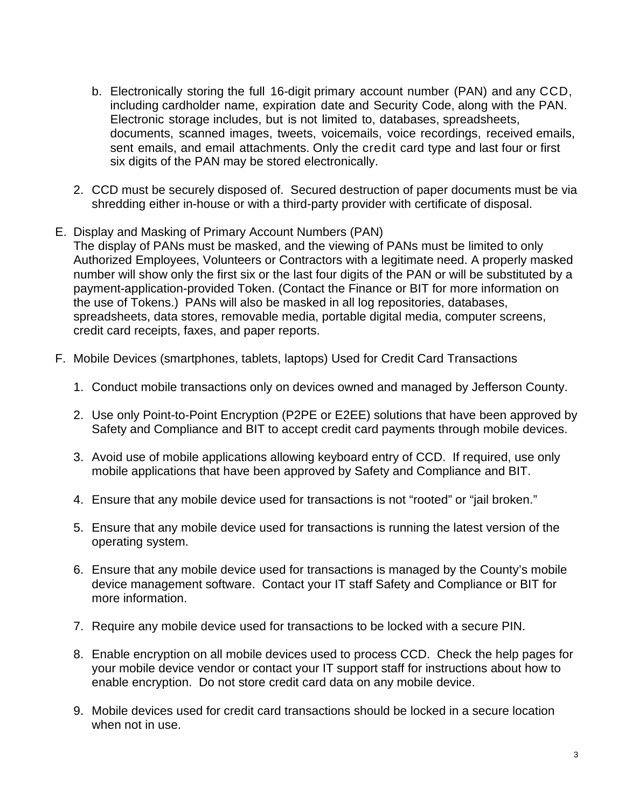- b. Electronically storing the full 16-digit primary account number (PAN) and any CCD, including cardholder name, expiration date and Security Code, along with the PAN. Electronic storage includes, but is not limited to, databases, spreadsheets, documents, scanned images, tweets, voicemails, voice recordings, received emails, sent emails, and email attachments. Only the credit card type and last four or first six digits of the PAN may be stored electronically.
- 2. CCD must be securely disposed of. Secured destruction of paper documents must be via shredding either in-house or with a third-party provider with certificate of disposal.
- E. Display and Masking of Primary Account Numbers (PAN) The display of PANs must be masked, and the viewing of PANs must be limited to only Authorized Employees, Volunteers or Contractors with a legitimate need. A properly masked number will show only the first six or the last four digits of the PAN or will be substituted by a payment-application-provided Token. (Contact the Finance or BIT for more information on the use of Tokens.) PANs will also be masked in all log repositories, databases, spreadsheets, data stores, removable media, portable digital media, computer screens, credit card receipts, faxes, and paper reports.
- F. Mobile Devices (smartphones, tablets, laptops) Used for Credit Card Transactions
	- 1. Conduct mobile transactions only on devices owned and managed by Jefferson County.
	- 2. Use only Point-to-Point Encryption (P2PE or E2EE) solutions that have been approved by Safety and Compliance and BIT to accept credit card payments through mobile devices.
	- 3. Avoid use of mobile applications allowing keyboard entry of CCD. If required, use only mobile applications that have been approved by Safety and Compliance and BIT.
	- 4. Ensure that any mobile device used for transactions is not "rooted" or "jail broken."
	- 5. Ensure that any mobile device used for transactions is running the latest version of the operating system.
	- 6. Ensure that any mobile device used for transactions is managed by the County's mobile device management software. Contact your IT staff Safety and Compliance or BIT for more information.
	- 7. Require any mobile device used for transactions to be locked with a secure PIN.
	- 8. Enable encryption on all mobile devices used to process CCD. Check the help pages for your mobile device vendor or contact your IT support staff for instructions about how to enable encryption. Do not store credit card data on any mobile device.
	- 9. Mobile devices used for credit card transactions should be locked in a secure location when not in use.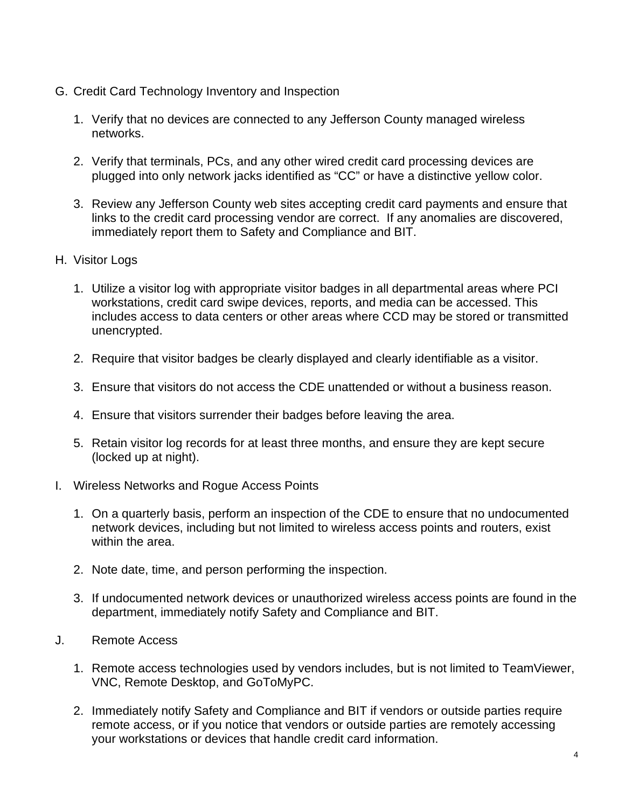- G. Credit Card Technology Inventory and Inspection
	- 1. Verify that no devices are connected to any Jefferson County managed wireless networks.
	- 2. Verify that terminals, PCs, and any other wired credit card processing devices are plugged into only network jacks identified as "CC" or have a distinctive yellow color.
	- 3. Review any Jefferson County web sites accepting credit card payments and ensure that links to the credit card processing vendor are correct. If any anomalies are discovered, immediately report them to Safety and Compliance and BIT.
- H. Visitor Logs
	- 1. Utilize a visitor log with appropriate visitor badges in all departmental areas where PCI workstations, credit card swipe devices, reports, and media can be accessed. This includes access to data centers or other areas where CCD may be stored or transmitted unencrypted.
	- 2. Require that visitor badges be clearly displayed and clearly identifiable as a visitor.
	- 3. Ensure that visitors do not access the CDE unattended or without a business reason.
	- 4. Ensure that visitors surrender their badges before leaving the area.
	- 5. Retain visitor log records for at least three months, and ensure they are kept secure (locked up at night).
- I. Wireless Networks and Rogue Access Points
	- 1. On a quarterly basis, perform an inspection of the CDE to ensure that no undocumented network devices, including but not limited to wireless access points and routers, exist within the area.
	- 2. Note date, time, and person performing the inspection.
	- 3. If undocumented network devices or unauthorized wireless access points are found in the department, immediately notify Safety and Compliance and BIT.
- J. Remote Access
	- 1. Remote access technologies used by vendors includes, but is not limited to TeamViewer, VNC, Remote Desktop, and GoToMyPC.
	- 2. Immediately notify Safety and Compliance and BIT if vendors or outside parties require remote access, or if you notice that vendors or outside parties are remotely accessing your workstations or devices that handle credit card information.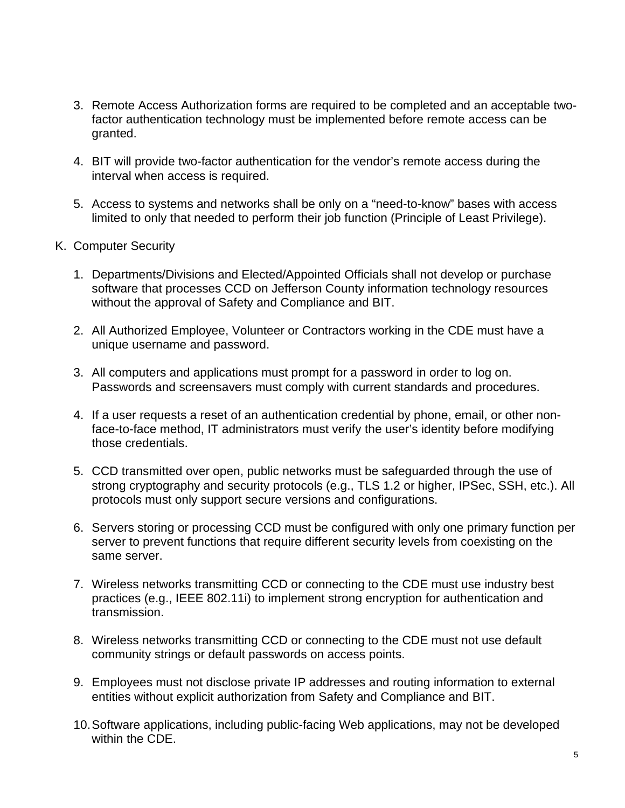- 3. Remote Access Authorization forms are required to be completed and an acceptable twofactor authentication technology must be implemented before remote access can be granted.
- 4. BIT will provide two-factor authentication for the vendor's remote access during the interval when access is required.
- 5. Access to systems and networks shall be only on a "need-to-know" bases with access limited to only that needed to perform their job function (Principle of Least Privilege).
- K. Computer Security
	- 1. Departments/Divisions and Elected/Appointed Officials shall not develop or purchase software that processes CCD on Jefferson County information technology resources without the approval of Safety and Compliance and BIT.
	- 2. All Authorized Employee, Volunteer or Contractors working in the CDE must have a unique username and password.
	- 3. All computers and applications must prompt for a password in order to log on. Passwords and screensavers must comply with current standards and procedures.
	- 4. If a user requests a reset of an authentication credential by phone, email, or other nonface-to-face method, IT administrators must verify the user's identity before modifying those credentials.
	- 5. CCD transmitted over open, public networks must be safeguarded through the use of strong cryptography and security protocols (e.g., TLS 1.2 or higher, IPSec, SSH, etc.). All protocols must only support secure versions and configurations.
	- 6. Servers storing or processing CCD must be configured with only one primary function per server to prevent functions that require different security levels from coexisting on the same server.
	- 7. Wireless networks transmitting CCD or connecting to the CDE must use industry best practices (e.g., IEEE 802.11i) to implement strong encryption for authentication and transmission.
	- 8. Wireless networks transmitting CCD or connecting to the CDE must not use default community strings or default passwords on access points.
	- 9. Employees must not disclose private IP addresses and routing information to external entities without explicit authorization from Safety and Compliance and BIT.
	- 10.Software applications, including public-facing Web applications, may not be developed within the CDE.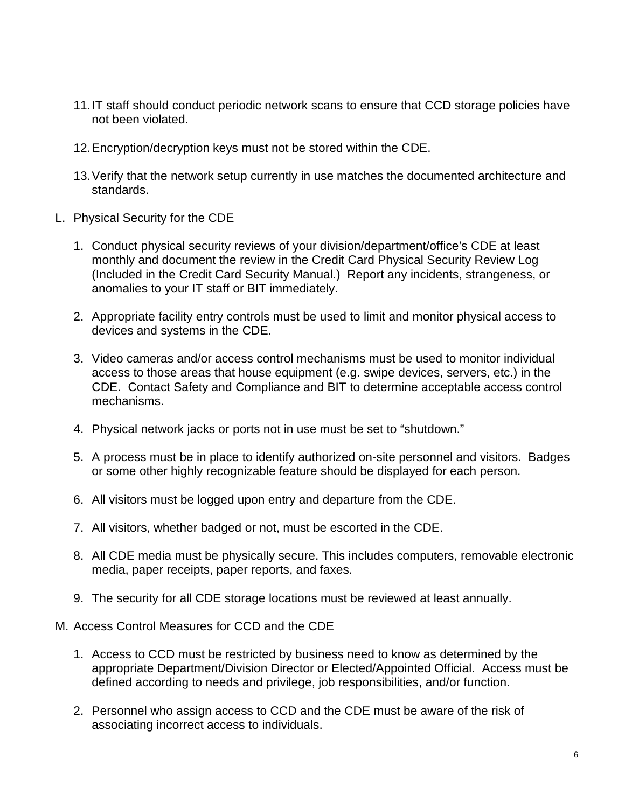- 11.IT staff should conduct periodic network scans to ensure that CCD storage policies have not been violated.
- 12.Encryption/decryption keys must not be stored within the CDE.
- 13.Verify that the network setup currently in use matches the documented architecture and standards.
- L. Physical Security for the CDE
	- 1. Conduct physical security reviews of your division/department/office's CDE at least monthly and document the review in the Credit Card Physical Security Review Log (Included in the Credit Card Security Manual.) Report any incidents, strangeness, or anomalies to your IT staff or BIT immediately.
	- 2. Appropriate facility entry controls must be used to limit and monitor physical access to devices and systems in the CDE.
	- 3. Video cameras and/or access control mechanisms must be used to monitor individual access to those areas that house equipment (e.g. swipe devices, servers, etc.) in the CDE. Contact Safety and Compliance and BIT to determine acceptable access control mechanisms.
	- 4. Physical network jacks or ports not in use must be set to "shutdown."
	- 5. A process must be in place to identify authorized on-site personnel and visitors. Badges or some other highly recognizable feature should be displayed for each person.
	- 6. All visitors must be logged upon entry and departure from the CDE.
	- 7. All visitors, whether badged or not, must be escorted in the CDE.
	- 8. All CDE media must be physically secure. This includes computers, removable electronic media, paper receipts, paper reports, and faxes.
	- 9. The security for all CDE storage locations must be reviewed at least annually.
- M. Access Control Measures for CCD and the CDE
	- 1. Access to CCD must be restricted by business need to know as determined by the appropriate Department/Division Director or Elected/Appointed Official. Access must be defined according to needs and privilege, job responsibilities, and/or function.
	- 2. Personnel who assign access to CCD and the CDE must be aware of the risk of associating incorrect access to individuals.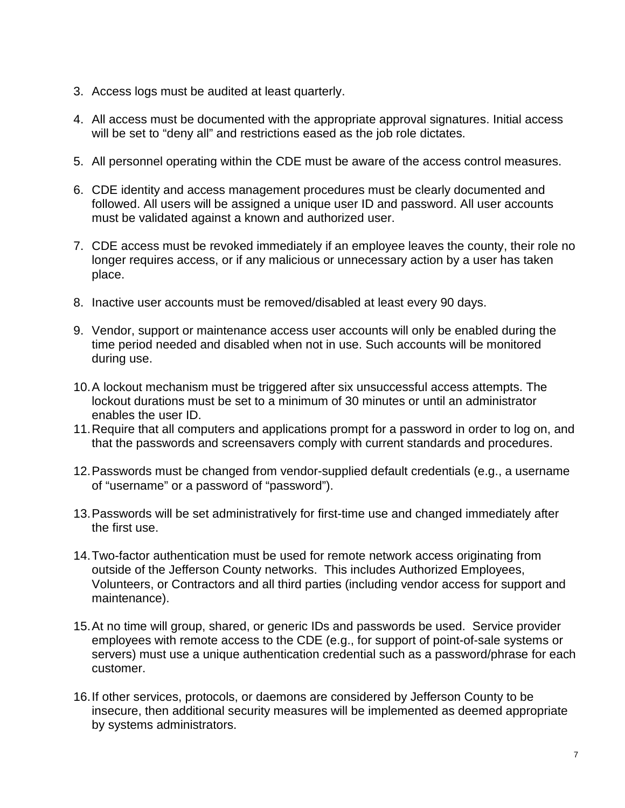- 3. Access logs must be audited at least quarterly.
- 4. All access must be documented with the appropriate approval signatures. Initial access will be set to "deny all" and restrictions eased as the job role dictates.
- 5. All personnel operating within the CDE must be aware of the access control measures.
- 6. CDE identity and access management procedures must be clearly documented and followed. All users will be assigned a unique user ID and password. All user accounts must be validated against a known and authorized user.
- 7. CDE access must be revoked immediately if an employee leaves the county, their role no longer requires access, or if any malicious or unnecessary action by a user has taken place.
- 8. Inactive user accounts must be removed/disabled at least every 90 days.
- 9. Vendor, support or maintenance access user accounts will only be enabled during the time period needed and disabled when not in use. Such accounts will be monitored during use.
- 10.A lockout mechanism must be triggered after six unsuccessful access attempts. The lockout durations must be set to a minimum of 30 minutes or until an administrator enables the user ID.
- 11.Require that all computers and applications prompt for a password in order to log on, and that the passwords and screensavers comply with current standards and procedures.
- 12.Passwords must be changed from vendor-supplied default credentials (e.g., a username of "username" or a password of "password").
- 13.Passwords will be set administratively for first-time use and changed immediately after the first use.
- 14.Two-factor authentication must be used for remote network access originating from outside of the Jefferson County networks. This includes Authorized Employees, Volunteers, or Contractors and all third parties (including vendor access for support and maintenance).
- 15.At no time will group, shared, or generic IDs and passwords be used. Service provider employees with remote access to the CDE (e.g., for support of point-of-sale systems or servers) must use a unique authentication credential such as a password/phrase for each customer.
- 16.If other services, protocols, or daemons are considered by Jefferson County to be insecure, then additional security measures will be implemented as deemed appropriate by systems administrators.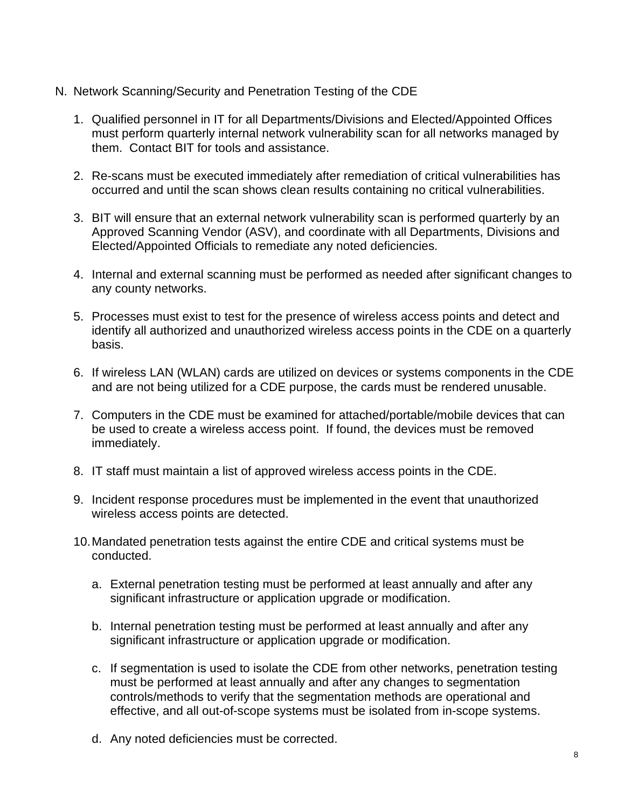- N. Network Scanning/Security and Penetration Testing of the CDE
	- 1. Qualified personnel in IT for all Departments/Divisions and Elected/Appointed Offices must perform quarterly internal network vulnerability scan for all networks managed by them. Contact BIT for tools and assistance.
	- 2. Re-scans must be executed immediately after remediation of critical vulnerabilities has occurred and until the scan shows clean results containing no critical vulnerabilities.
	- 3. BIT will ensure that an external network vulnerability scan is performed quarterly by an Approved Scanning Vendor (ASV), and coordinate with all Departments, Divisions and Elected/Appointed Officials to remediate any noted deficiencies.
	- 4. Internal and external scanning must be performed as needed after significant changes to any county networks.
	- 5. Processes must exist to test for the presence of wireless access points and detect and identify all authorized and unauthorized wireless access points in the CDE on a quarterly basis.
	- 6. If wireless LAN (WLAN) cards are utilized on devices or systems components in the CDE and are not being utilized for a CDE purpose, the cards must be rendered unusable.
	- 7. Computers in the CDE must be examined for attached/portable/mobile devices that can be used to create a wireless access point. If found, the devices must be removed immediately.
	- 8. IT staff must maintain a list of approved wireless access points in the CDE.
	- 9. Incident response procedures must be implemented in the event that unauthorized wireless access points are detected.
	- 10.Mandated penetration tests against the entire CDE and critical systems must be conducted.
		- a. External penetration testing must be performed at least annually and after any significant infrastructure or application upgrade or modification.
		- b. Internal penetration testing must be performed at least annually and after any significant infrastructure or application upgrade or modification.
		- c. If segmentation is used to isolate the CDE from other networks, penetration testing must be performed at least annually and after any changes to segmentation controls/methods to verify that the segmentation methods are operational and effective, and all out-of-scope systems must be isolated from in-scope systems.
		- d. Any noted deficiencies must be corrected.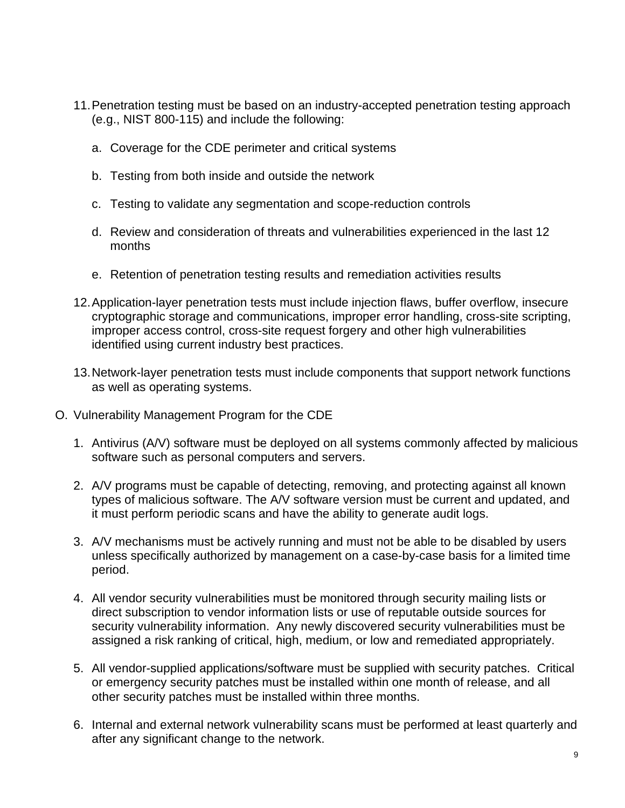- 11.Penetration testing must be based on an industry-accepted penetration testing approach (e.g., NIST 800-115) and include the following:
	- a. Coverage for the CDE perimeter and critical systems
	- b. Testing from both inside and outside the network
	- c. Testing to validate any segmentation and scope-reduction controls
	- d. Review and consideration of threats and vulnerabilities experienced in the last 12 months
	- e. Retention of penetration testing results and remediation activities results
- 12.Application-layer penetration tests must include injection flaws, buffer overflow, insecure cryptographic storage and communications, improper error handling, cross-site scripting, improper access control, cross-site request forgery and other high vulnerabilities identified using current industry best practices.
- 13.Network-layer penetration tests must include components that support network functions as well as operating systems.
- O. Vulnerability Management Program for the CDE
	- 1. Antivirus (A/V) software must be deployed on all systems commonly affected by malicious software such as personal computers and servers.
	- 2. A/V programs must be capable of detecting, removing, and protecting against all known types of malicious software. The A/V software version must be current and updated, and it must perform periodic scans and have the ability to generate audit logs.
	- 3. A/V mechanisms must be actively running and must not be able to be disabled by users unless specifically authorized by management on a case-by-case basis for a limited time period.
	- 4. All vendor security vulnerabilities must be monitored through security mailing lists or direct subscription to vendor information lists or use of reputable outside sources for security vulnerability information. Any newly discovered security vulnerabilities must be assigned a risk ranking of critical, high, medium, or low and remediated appropriately.
	- 5. All vendor-supplied applications/software must be supplied with security patches. Critical or emergency security patches must be installed within one month of release, and all other security patches must be installed within three months.
	- 6. Internal and external network vulnerability scans must be performed at least quarterly and after any significant change to the network.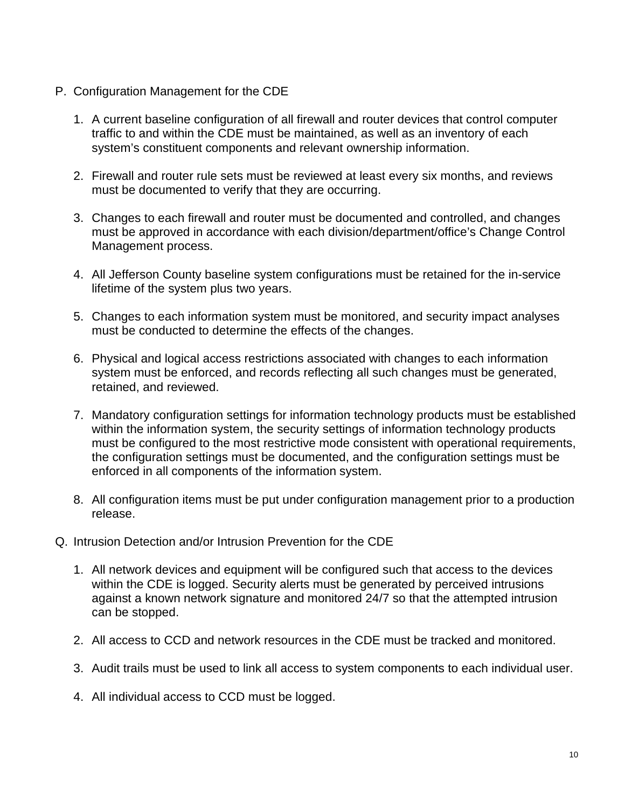- P. Configuration Management for the CDE
	- 1. A current baseline configuration of all firewall and router devices that control computer traffic to and within the CDE must be maintained, as well as an inventory of each system's constituent components and relevant ownership information.
	- 2. Firewall and router rule sets must be reviewed at least every six months, and reviews must be documented to verify that they are occurring.
	- 3. Changes to each firewall and router must be documented and controlled, and changes must be approved in accordance with each division/department/office's Change Control Management process.
	- 4. All Jefferson County baseline system configurations must be retained for the in-service lifetime of the system plus two years.
	- 5. Changes to each information system must be monitored, and security impact analyses must be conducted to determine the effects of the changes.
	- 6. Physical and logical access restrictions associated with changes to each information system must be enforced, and records reflecting all such changes must be generated, retained, and reviewed.
	- 7. Mandatory configuration settings for information technology products must be established within the information system, the security settings of information technology products must be configured to the most restrictive mode consistent with operational requirements, the configuration settings must be documented, and the configuration settings must be enforced in all components of the information system.
	- 8. All configuration items must be put under configuration management prior to a production release.
- Q. Intrusion Detection and/or Intrusion Prevention for the CDE
	- 1. All network devices and equipment will be configured such that access to the devices within the CDE is logged. Security alerts must be generated by perceived intrusions against a known network signature and monitored 24/7 so that the attempted intrusion can be stopped.
	- 2. All access to CCD and network resources in the CDE must be tracked and monitored.
	- 3. Audit trails must be used to link all access to system components to each individual user.
	- 4. All individual access to CCD must be logged.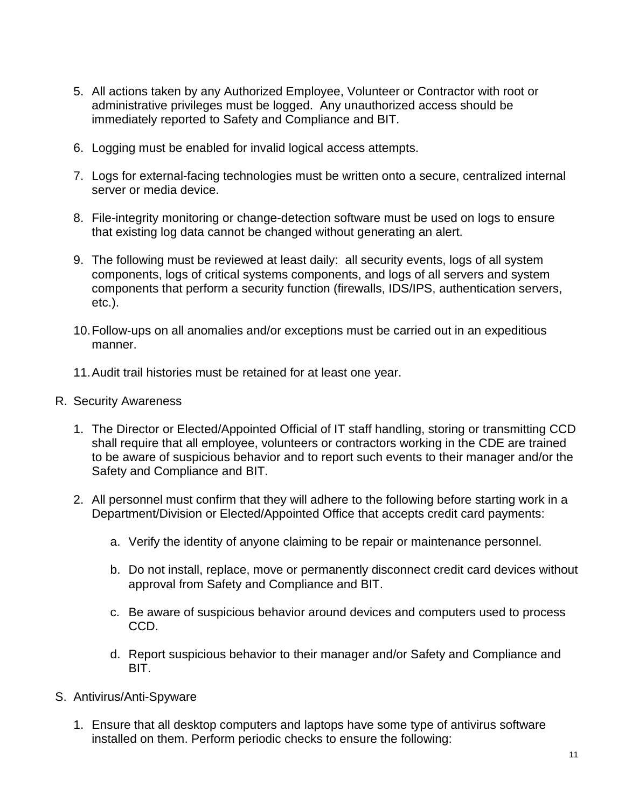- 5. All actions taken by any Authorized Employee, Volunteer or Contractor with root or administrative privileges must be logged. Any unauthorized access should be immediately reported to Safety and Compliance and BIT.
- 6. Logging must be enabled for invalid logical access attempts.
- 7. Logs for external-facing technologies must be written onto a secure, centralized internal server or media device.
- 8. File-integrity monitoring or change-detection software must be used on logs to ensure that existing log data cannot be changed without generating an alert.
- 9. The following must be reviewed at least daily: all security events, logs of all system components, logs of critical systems components, and logs of all servers and system components that perform a security function (firewalls, IDS/IPS, authentication servers, etc.).
- 10.Follow-ups on all anomalies and/or exceptions must be carried out in an expeditious manner.
- 11.Audit trail histories must be retained for at least one year.
- R. Security Awareness
	- 1. The Director or Elected/Appointed Official of IT staff handling, storing or transmitting CCD shall require that all employee, volunteers or contractors working in the CDE are trained to be aware of suspicious behavior and to report such events to their manager and/or the Safety and Compliance and BIT.
	- 2. All personnel must confirm that they will adhere to the following before starting work in a Department/Division or Elected/Appointed Office that accepts credit card payments:
		- a. Verify the identity of anyone claiming to be repair or maintenance personnel.
		- b. Do not install, replace, move or permanently disconnect credit card devices without approval from Safety and Compliance and BIT.
		- c. Be aware of suspicious behavior around devices and computers used to process CCD.
		- d. Report suspicious behavior to their manager and/or Safety and Compliance and BIT.
- S. Antivirus/Anti-Spyware
	- 1. Ensure that all desktop computers and laptops have some type of antivirus software installed on them. Perform periodic checks to ensure the following: